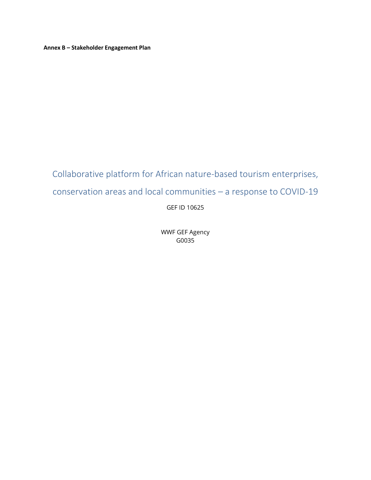**Annex B – Stakeholder Engagement Plan** 

# Collaborative platform for African nature-based tourism enterprises, conservation areas and local communities – a response to COVID-19 GEF ID 10625

WWF GEF Agency G0035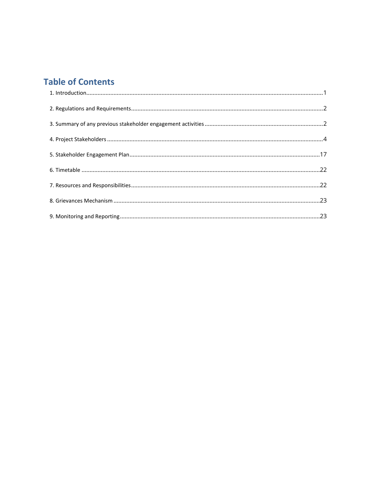# **Table of Contents**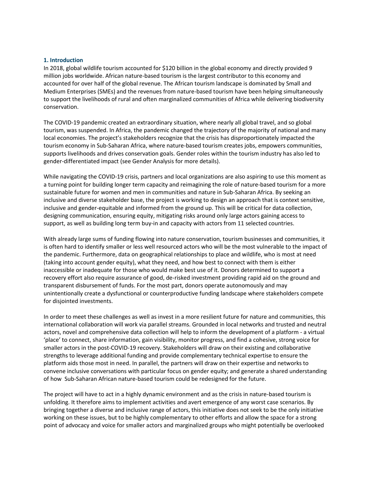#### <span id="page-2-0"></span>**1. Introduction**

In 2018, global wildlife tourism accounted for \$120 billion in the global economy and directly provided 9 million jobs worldwide. African nature-based tourism is the largest contributor to this economy and accounted for over half of the global revenue. The African tourism landscape is dominated by Small and Medium Enterprises (SMEs) and the revenues from nature-based tourism have been helping simultaneously to support the livelihoods of rural and often marginalized communities of Africa while delivering biodiversity conservation.

The COVID-19 pandemic created an extraordinary situation, where nearly all global travel, and so global tourism, was suspended. In Africa, the pandemic changed the trajectory of the majority of national and many local economies. The project's stakeholders recognize that the crisis has disproportionately impacted the tourism economy in Sub-Saharan Africa, where nature-based tourism creates jobs, empowers communities, supports livelihoods and drives conservation goals. Gender roles within the tourism industry has also led to gender-differentiated impact (see Gender Analysis for more details).

While navigating the COVID-19 crisis, partners and local organizations are also aspiring to use this moment as a turning point for building longer term capacity and reimagining the role of nature-based tourism for a more sustainable future for women and men in communities and nature in Sub-Saharan Africa. By seeking an inclusive and diverse stakeholder base, the project is working to design an approach that is context sensitive, inclusive and gender-equitable and informed from the ground up. This will be critical for data collection, designing communication, ensuring equity, mitigating risks around only large actors gaining access to support, as well as building long term buy-in and capacity with actors from 11 selected countries.

With already large sums of funding flowing into nature conservation, tourism businesses and communities, it is often hard to identify smaller or less well resourced actors who will be the most vulnerable to the impact of the pandemic. Furthermore, data on geographical relationships to place and wildlife, who is most at need (taking into account gender equity), what they need, and how best to connect with them is either inaccessible or inadequate for those who would make best use of it. Donors determined to support a recovery effort also require assurance of good, de-risked investment providing rapid aid on the ground and transparent disbursement of funds. For the most part, donors operate autonomously and may unintentionally create a dysfunctional or counterproductive funding landscape where stakeholders compete for disjointed investments.

In order to meet these challenges as well as invest in a more resilient future for nature and communities, this international collaboration will work via parallel streams. Grounded in local networks and trusted and neutral actors, novel and comprehensive data collection will help to inform the development of a platform - a virtual 'place' to connect, share information, gain visibility, monitor progress, and find a cohesive, strong voice for smaller actors in the post-COVID-19 recovery. Stakeholders will draw on their existing and collaborative strengths to leverage additional funding and provide complementary technical expertise to ensure the platform aids those most in need. In parallel, the partners will draw on their expertise and networks to convene inclusive conversations with particular focus on gender equity; and generate a shared understanding of how Sub-Saharan African nature-based tourism could be redesigned for the future.

The project will have to act in a highly dynamic environment and as the crisis in nature-based tourism is unfolding. It therefore aims to implement activities and avert emergence of any worst case scenarios. By bringing together a diverse and inclusive range of actors, this initiative does not seek to be the only initiative working on these issues, but to be highly complementary to other efforts and allow the space for a strong point of advocacy and voice for smaller actors and marginalized groups who might potentially be overlooked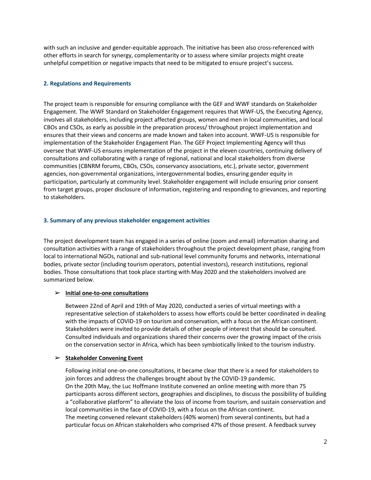with such an inclusive and gender-equitable approach. The initiative has been also cross-referenced with other efforts in search for synergy, complementarity or to assess where similar projects might create unhelpful competition or negative impacts that need to be mitigated to ensure project's success.

#### <span id="page-3-0"></span>**2. Regulations and Requirements**

The project team is responsible for ensuring compliance with the GEF and WWF standards on Stakeholder Engagement. The WWF Standard on Stakeholder Engagement requires that WWF-US, the Executing Agency, involves all stakeholders, including project affected groups, women and men in local communities, and local CBOs and CSOs, as early as possible in the preparation process/ throughout project implementation and ensures that their views and concerns are made known and taken into account. WWF-US is responsible for implementation of the Stakeholder Engagement Plan. The GEF Project Implementing Agency will thus oversee that WWF-US ensures implementation of the project in the eleven countries, continuing delivery of consultations and collaborating with a range of regional, national and local stakeholders from diverse communities (CBNRM forums, CBOs, CSOs, conservancy associations, etc.), private sector, government agencies, non-governmental organizations, intergovernmental bodies, ensuring gender equity in participation, particularly at community level. Stakeholder engagement will include ensuring prior consent from target groups, proper disclosure of information, registering and responding to grievances, and reporting to stakeholders.

## <span id="page-3-1"></span>**3. Summary of any previous stakeholder engagement activities**

The project development team has engaged in a series of online (zoom and email) information sharing and consultation activities with a range of stakeholders throughout the project development phase, ranging from local to international NGOs, national and sub-national level community forums and networks, international bodies, private sector (including tourism operators, potential investors), research institutions, regional bodies. Those consultations that took place starting with May 2020 and the stakeholders involved are summarized below.

# ➢ **Initial one-to-one consultations**

Between 22nd of April and 19th of May 2020, conducted a series of virtual meetings with a representative selection of stakeholders to assess how efforts could be better coordinated in dealing with the impacts of COVID-19 on tourism and conservation, with a focus on the African continent. Stakeholders were invited to provide details of other people of interest that should be consulted. Consulted individuals and organizations shared their concerns over the growing impact of the crisis on the conservation sector in Africa, which has been symbiotically linked to the tourism industry.

#### ➢ **Stakeholder Convening Event**

Following initial one-on-one consultations, it became clear that there is a need for stakeholders to join forces and address the challenges brought about by the COVID-19 pandemic. On the 20th May, the Luc Hoffmann Institute convened an online meeting with more than 75 participants across different sectors, geographies and disciplines, to discuss the possibility of building a "collaborative platform" to alleviate the loss of income from tourism, and sustain conservation and local communities in the face of COVID-19, with a focus on the African continent. The meeting convened relevant stakeholders (40% women) from several continents, but had a particular focus on African stakeholders who comprised 47% of those present. A feedback survey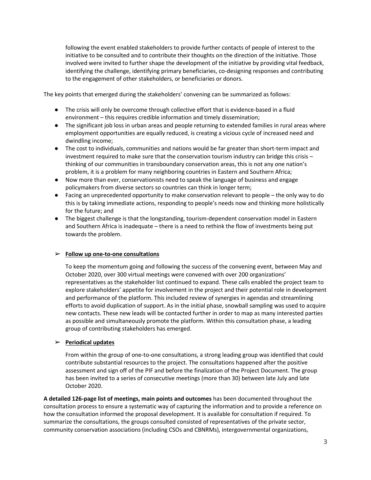following the event enabled stakeholders to provide further contacts of people of interest to the initiative to be consulted and to contribute their thoughts on the direction of the initiative. Those involved were invited to further shape the development of the initiative by providing vital feedback, identifying the challenge, identifying primary beneficiaries, co-designing responses and contributing to the engagement of other stakeholders, or beneficiaries or donors.

The key points that emerged during the stakeholders' convening can be summarized as follows:

- The crisis will only be overcome through collective effort that is evidence-based in a fluid environment – this requires credible information and timely dissemination;
- The significant job loss in urban areas and people returning to extended families in rural areas where employment opportunities are equally reduced, is creating a vicious cycle of increased need and dwindling income;
- The cost to individuals, communities and nations would be far greater than short-term impact and investment required to make sure that the conservation tourism industry can bridge this crisis – thinking of our communities in transboundary conservation areas, this is not any one nation's problem, it is a problem for many neighboring countries in Eastern and Southern Africa;
- Now more than ever, conservationists need to speak the language of business and engage policymakers from diverse sectors so countries can think in longer term;
- Facing an unprecedented opportunity to make conservation relevant to people the only way to do this is by taking immediate actions, responding to people's needs now and thinking more holistically for the future; and
- The biggest challenge is that the longstanding, tourism-dependent conservation model in Eastern and Southern Africa is inadequate – there is a need to rethink the flow of investments being put towards the problem.

# ➢ **Follow up one-to-one consultations**

To keep the momentum going and following the success of the convening event, between May and October 2020, over 300 virtual meetings were convened with over 200 organizations' representatives as the stakeholder list continued to expand. These calls enabled the project team to explore stakeholders' appetite for involvement in the project and their potential role in development and performance of the platform. This included review of synergies in agendas and streamlining efforts to avoid duplication of support. As in the initial phase, snowball sampling was used to acquire new contacts. These new leads will be contacted further in order to map as many interested parties as possible and simultaneously promote the platform. Within this consultation phase, a leading group of contributing stakeholders has emerged.

#### ➢ **Periodical updates**

From within the group of one-to-one consultations, a strong leading group was identified that could contribute substantial resources to the project. The consultations happened after the positive assessment and sign off of the PIF and before the finalization of the Project Document. The group has been invited to a series of consecutive meetings (more than 30) between late July and late October 2020.

**A detailed 126-page list of meetings, main points and outcomes** has been documented throughout the consultation process to ensure a systematic way of capturing the information and to provide a reference on how the consultation informed the proposal development. It is available for consultation if required. To summarize the consultations, the groups consulted consisted of representatives of the private sector, community conservation associations (including CSOs and CBNRMs), intergovernmental organizations,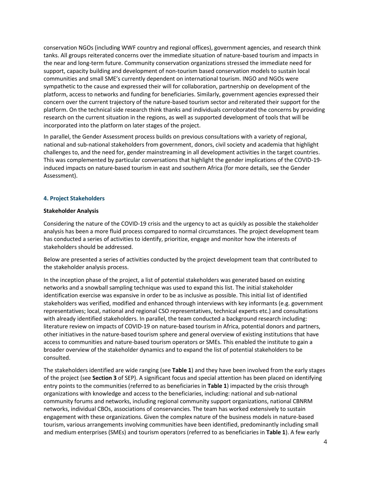conservation NGOs (including WWF country and regional offices), government agencies, and research think tanks. All groups reiterated concerns over the immediate situation of nature-based tourism and impacts in the near and long-term future. Community conservation organizations stressed the immediate need for support, capacity building and development of non-tourism based conservation models to sustain local communities and small SME's currently dependent on international tourism. INGO and NGOs were sympathetic to the cause and expressed their will for collaboration, partnership on development of the platform, access to networks and funding for beneficiaries. Similarly, government agencies expressed their concern over the current trajectory of the nature-based tourism sector and reiterated their support for the platform. On the technical side research think thanks and individuals corroborated the concerns by providing research on the current situation in the regions, as well as supported development of tools that will be incorporated into the platform on later stages of the project.

In parallel, the Gender Assessment process builds on previous consultations with a variety of regional, national and sub-national stakeholders from government, donors, civil society and academia that highlight challenges to, and the need for, gender mainstreaming in all development activities in the target countries. This was complemented by particular conversations that highlight the gender implications of the COVID-19 induced impacts on nature-based tourism in east and southern Africa (for more details, see the Gender Assessment).

#### <span id="page-5-0"></span>**4. Project Stakeholders**

#### **Stakeholder Analysis**

Considering the nature of the COVID-19 crisis and the urgency to act as quickly as possible the stakeholder analysis has been a more fluid process compared to normal circumstances. The project development team has conducted a series of activities to identify, prioritize, engage and monitor how the interests of stakeholders should be addressed.

Below are presented a series of activities conducted by the project development team that contributed to the stakeholder analysis process.

In the inception phase of the project, a list of potential stakeholders was generated based on existing networks and a snowball sampling technique was used to expand this list. The initial stakeholder identification exercise was expansive in order to be as inclusive as possible. This initial list of identified stakeholders was verified, modified and enhanced through interviews with key informants (e.g. government representatives; local, national and regional CSO representatives, technical experts etc.) and consultations with already identified stakeholders. In parallel, the team conducted a background research including: literature review on impacts of COVID-19 on nature-based tourism in Africa, potential donors and partners, other initiatives in the nature-based tourism sphere and general overview of existing institutions that have access to communities and nature-based tourism operators or SMEs. This enabled the institute to gain a broader overview of the stakeholder dynamics and to expand the list of potential stakeholders to be consulted.

The stakeholders identified are wide ranging (see **Table 1**) and they have been involved from the early stages of the project (see **Section 3** of SEP). A significant focus and special attention has been placed on identifying entry points to the communities (referred to as beneficiaries in **Table 1**) impacted by the crisis through organizations with knowledge and access to the beneficiaries, including: national and sub-national community forums and networks, including regional community support organizations, national CBNRM networks, individual CBOs, associations of conservancies. The team has worked extensively to sustain engagement with these organizations. Given the complex nature of the business models in nature-based tourism, various arrangements involving communities have been identified, predominantly including small and medium enterprises (SMEs) and tourism operators (referred to as beneficiaries in **Table 1**). A few early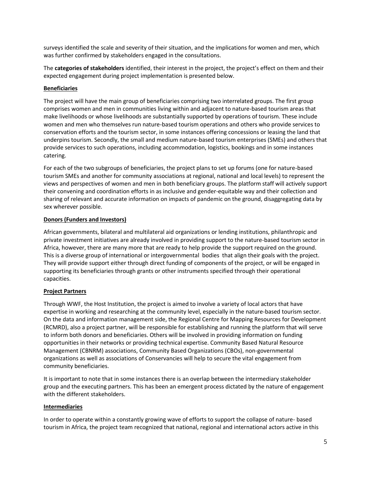surveys identified the scale and severity of their situation, and the implications for women and men, which was further confirmed by stakeholders engaged in the consultations.

The **categories of stakeholders** identified, their interest in the project, the project's effect on them and their expected engagement during project implementation is presented below.

# **Beneficiaries**

The project will have the main group of beneficiaries comprising two interrelated groups. The first group comprises women and men in communities living within and adjacent to nature-based tourism areas that make livelihoods or whose livelihoods are substantially supported by operations of tourism. These include women and men who themselves run nature-based tourism operations and others who provide services to conservation efforts and the tourism sector, in some instances offering concessions or leasing the land that underpins tourism. Secondly, the small and medium nature-based tourism enterprises (SMEs) and others that provide services to such operations, including accommodation, logistics, bookings and in some instances catering.

For each of the two subgroups of beneficiaries, the project plans to set up forums (one for nature-based tourism SMEs and another for community associations at regional, national and local levels) to represent the views and perspectives of women and men in both beneficiary groups. The platform staff will actively support their convening and coordination efforts in as inclusive and gender-equitable way and their collection and sharing of relevant and accurate information on impacts of pandemic on the ground, disaggregating data by sex wherever possible.

## **Donors (Funders and Investors)**

African governments, bilateral and multilateral aid organizations or lending institutions, philanthropic and private investment initiatives are already involved in providing support to the nature-based tourism sector in Africa, however, there are many more that are ready to help provide the support required on the ground. This is a diverse group of international or intergovernmental bodies that align their goals with the project. They will provide support either through direct funding of components of the project, or will be engaged in supporting its beneficiaries through grants or other instruments specified through their operational capacities.

# **Project Partners**

Through WWF, the Host Institution, the project is aimed to involve a variety of local actors that have expertise in working and researching at the community level, especially in the nature-based tourism sector. On the data and information management side, the Regional Centre for Mapping Resources for Development (RCMRD), also a project partner, will be responsible for establishing and running the platform that will serve to inform both donors and beneficiaries. Others will be involved in providing information on funding opportunities in their networks or providing technical expertise. Community Based Natural Resource Management (CBNRM) associations, Community Based Organizations (CBOs), non-governmental organizations as well as associations of Conservancies will help to secure the vital engagement from community beneficiaries.

It is important to note that in some instances there is an overlap between the intermediary stakeholder group and the executing partners. This has been an emergent process dictated by the nature of engagement with the different stakeholders.

#### **Intermediaries**

In order to operate within a constantly growing wave of efforts to support the collapse of nature- based tourism in Africa, the project team recognized that national, regional and international actors active in this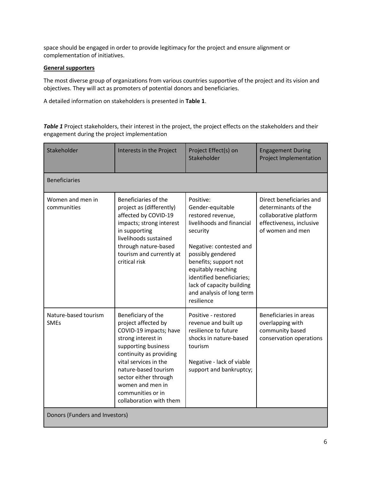space should be engaged in order to provide legitimacy for the project and ensure alignment or complementation of initiatives.

# **General supporters**

The most diverse group of organizations from various countries supportive of the project and its vision and objectives. They will act as promoters of potential donors and beneficiaries.

A detailed information on stakeholders is presented in **Table 1**.

*Table 1* Project stakeholders, their interest in the project, the project effects on the stakeholders and their engagement during the project implementation

| Stakeholder                         | Interests in the Project                                                                                                                                                                                                                                                                  | Project Effect(s) on<br>Stakeholder                                                                                                                                                                                                                                                             | <b>Engagement During</b><br><b>Project Implementation</b>                                                                 |
|-------------------------------------|-------------------------------------------------------------------------------------------------------------------------------------------------------------------------------------------------------------------------------------------------------------------------------------------|-------------------------------------------------------------------------------------------------------------------------------------------------------------------------------------------------------------------------------------------------------------------------------------------------|---------------------------------------------------------------------------------------------------------------------------|
| <b>Beneficiaries</b>                |                                                                                                                                                                                                                                                                                           |                                                                                                                                                                                                                                                                                                 |                                                                                                                           |
| Women and men in<br>communities     | Beneficiaries of the<br>project as (differently)<br>affected by COVID-19<br>impacts; strong interest<br>in supporting<br>livelihoods sustained<br>through nature-based<br>tourism and currently at<br>critical risk                                                                       | Positive:<br>Gender-equitable<br>restored revenue,<br>livelihoods and financial<br>security<br>Negative: contested and<br>possibly gendered<br>benefits; support not<br>equitably reaching<br>identified beneficiaries;<br>lack of capacity building<br>and analysis of long term<br>resilience | Direct beneficiaries and<br>determinants of the<br>collaborative platform<br>effectiveness, inclusive<br>of women and men |
| Nature-based tourism<br><b>SMEs</b> | Beneficiary of the<br>project affected by<br>COVID-19 impacts; have<br>strong interest in<br>supporting business<br>continuity as providing<br>vital services in the<br>nature-based tourism<br>sector either through<br>women and men in<br>communities or in<br>collaboration with them | Positive - restored<br>revenue and built up<br>resilience to future<br>shocks in nature-based<br>tourism<br>Negative - lack of viable<br>support and bankruptcy;                                                                                                                                | Beneficiaries in areas<br>overlapping with<br>community based<br>conservation operations                                  |
| Donors (Funders and Investors)      |                                                                                                                                                                                                                                                                                           |                                                                                                                                                                                                                                                                                                 |                                                                                                                           |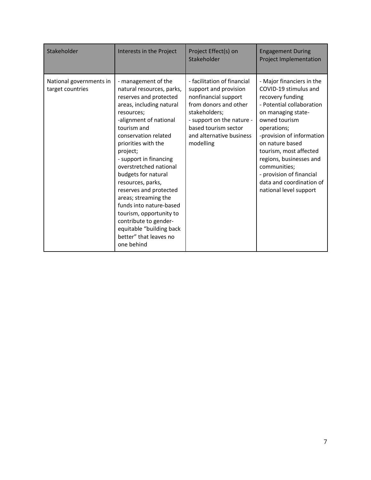| Stakeholder                                 | Interests in the Project                                                                                                                                                                                                                                                                                                                                                                                                                                                                                                      | Project Effect(s) on<br>Stakeholder                                                                                                                                                                                  | <b>Engagement During</b><br>Project Implementation                                                                                                                                                                                                                                                                                                               |
|---------------------------------------------|-------------------------------------------------------------------------------------------------------------------------------------------------------------------------------------------------------------------------------------------------------------------------------------------------------------------------------------------------------------------------------------------------------------------------------------------------------------------------------------------------------------------------------|----------------------------------------------------------------------------------------------------------------------------------------------------------------------------------------------------------------------|------------------------------------------------------------------------------------------------------------------------------------------------------------------------------------------------------------------------------------------------------------------------------------------------------------------------------------------------------------------|
| National governments in<br>target countries | - management of the<br>natural resources, parks,<br>reserves and protected<br>areas, including natural<br>resources;<br>-alignment of national<br>tourism and<br>conservation related<br>priorities with the<br>project;<br>- support in financing<br>overstretched national<br>budgets for natural<br>resources, parks,<br>reserves and protected<br>areas; streaming the<br>funds into nature-based<br>tourism, opportunity to<br>contribute to gender-<br>equitable "building back<br>better" that leaves no<br>one behind | - facilitation of financial<br>support and provision<br>nonfinancial support<br>from donors and other<br>stakeholders;<br>- support on the nature -<br>based tourism sector<br>and alternative business<br>modelling | - Major financiers in the<br>COVID-19 stimulus and<br>recovery funding<br>- Potential collaboration<br>on managing state-<br>owned tourism<br>operations;<br>-provision of information<br>on nature based<br>tourism, most affected<br>regions, businesses and<br>communities;<br>- provision of financial<br>data and coordination of<br>national level support |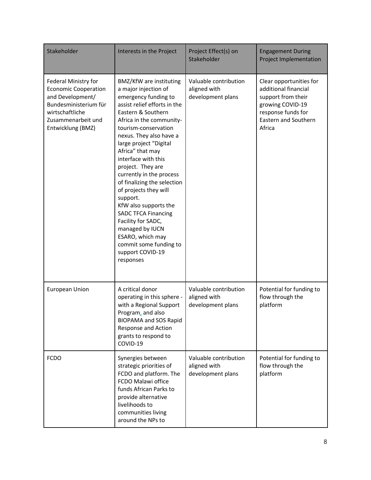| Stakeholder                                                                                                                                                    | Interests in the Project                                                                                                                                                                                                                                                                                                                                                                                                                                                                                                                                                              | Project Effect(s) on<br>Stakeholder                        | <b>Engagement During</b><br><b>Project Implementation</b>                                                                                                |
|----------------------------------------------------------------------------------------------------------------------------------------------------------------|---------------------------------------------------------------------------------------------------------------------------------------------------------------------------------------------------------------------------------------------------------------------------------------------------------------------------------------------------------------------------------------------------------------------------------------------------------------------------------------------------------------------------------------------------------------------------------------|------------------------------------------------------------|----------------------------------------------------------------------------------------------------------------------------------------------------------|
| Federal Ministry for<br><b>Economic Cooperation</b><br>and Development/<br>Bundesministerium für<br>wirtschaftliche<br>Zusammenarbeit und<br>Entwicklung (BMZ) | BMZ/KfW are instituting<br>a major injection of<br>emergency funding to<br>assist relief efforts in the<br>Eastern & Southern<br>Africa in the community-<br>tourism-conservation<br>nexus. They also have a<br>large project "Digital<br>Africa" that may<br>interface with this<br>project. They are<br>currently in the process<br>of finalizing the selection<br>of projects they will<br>support.<br>KfW also supports the<br><b>SADC TFCA Financing</b><br>Facility for SADC,<br>managed by IUCN<br>ESARO, which may<br>commit some funding to<br>support COVID-19<br>responses | Valuable contribution<br>aligned with<br>development plans | Clear opportunities for<br>additional financial<br>support from their<br>growing COVID-19<br>response funds for<br><b>Eastern and Southern</b><br>Africa |
| <b>European Union</b>                                                                                                                                          | A critical donor<br>operating in this sphere -<br>with a Regional Support<br>Program, and also<br><b>BIOPAMA and SOS Rapid</b><br>Response and Action<br>grants to respond to<br>COVID-19                                                                                                                                                                                                                                                                                                                                                                                             | Valuable contribution<br>aligned with<br>development plans | Potential for funding to<br>flow through the<br>platform                                                                                                 |
| <b>FCDO</b>                                                                                                                                                    | Synergies between<br>strategic priorities of<br>FCDO and platform. The<br>FCDO Malawi office<br>funds African Parks to<br>provide alternative<br>livelihoods to<br>communities living<br>around the NPs to                                                                                                                                                                                                                                                                                                                                                                            | Valuable contribution<br>aligned with<br>development plans | Potential for funding to<br>flow through the<br>platform                                                                                                 |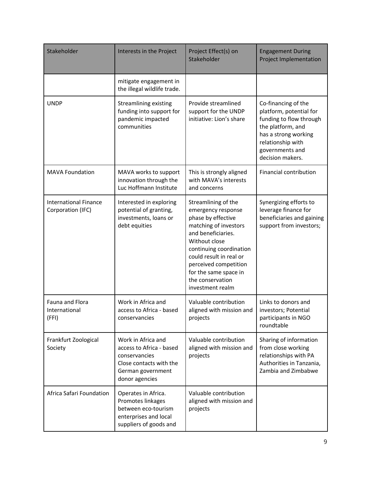| Stakeholder                                       | Interests in the Project                                                                                                          | Project Effect(s) on<br>Stakeholder                                                                                                                                                                                                                                             | <b>Engagement During</b><br><b>Project Implementation</b>                                                                                                                          |
|---------------------------------------------------|-----------------------------------------------------------------------------------------------------------------------------------|---------------------------------------------------------------------------------------------------------------------------------------------------------------------------------------------------------------------------------------------------------------------------------|------------------------------------------------------------------------------------------------------------------------------------------------------------------------------------|
|                                                   | mitigate engagement in<br>the illegal wildlife trade.                                                                             |                                                                                                                                                                                                                                                                                 |                                                                                                                                                                                    |
| <b>UNDP</b>                                       | <b>Streamlining existing</b><br>funding into support for<br>pandemic impacted<br>communities                                      | Provide streamlined<br>support for the UNDP<br>initiative: Lion's share                                                                                                                                                                                                         | Co-financing of the<br>platform, potential for<br>funding to flow through<br>the platform, and<br>has a strong working<br>relationship with<br>governments and<br>decision makers. |
| <b>MAVA Foundation</b>                            | MAVA works to support<br>innovation through the<br>Luc Hoffmann Institute                                                         | This is strongly aligned<br>with MAVA's interests<br>and concerns                                                                                                                                                                                                               | <b>Financial contribution</b>                                                                                                                                                      |
| <b>International Finance</b><br>Corporation (IFC) | Interested in exploring<br>potential of granting,<br>investments, loans or<br>debt equities                                       | Streamlining of the<br>emergency response<br>phase by effective<br>matching of investors<br>and beneficiaries.<br>Without close<br>continuing coordination<br>could result in real or<br>perceived competition<br>for the same space in<br>the conservation<br>investment realm | Synergizing efforts to<br>leverage finance for<br>beneficiaries and gaining<br>support from investors;                                                                             |
| Fauna and Flora<br>International<br>(FFI)         | Work in Africa and<br>access to Africa - based<br>conservancies                                                                   | Valuable contribution<br>aligned with mission and<br>projects                                                                                                                                                                                                                   | Links to donors and<br>investors; Potential<br>participants in NGO<br>roundtable                                                                                                   |
| Frankfurt Zoological<br>Society                   | Work in Africa and<br>access to Africa - based<br>conservancies<br>Close contacts with the<br>German government<br>donor agencies | Valuable contribution<br>aligned with mission and<br>projects                                                                                                                                                                                                                   | Sharing of information<br>from close working<br>relationships with PA<br>Authorities in Tanzania,<br>Zambia and Zimbabwe                                                           |
| Africa Safari Foundation                          | Operates in Africa.<br>Promotes linkages<br>between eco-tourism<br>enterprises and local<br>suppliers of goods and                | Valuable contribution<br>aligned with mission and<br>projects                                                                                                                                                                                                                   |                                                                                                                                                                                    |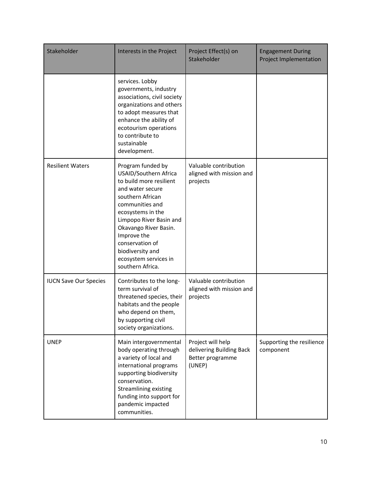| Stakeholder                  | Interests in the Project                                                                                                                                                                                                                                                                                     | Project Effect(s) on<br>Stakeholder                                         | <b>Engagement During</b><br>Project Implementation |
|------------------------------|--------------------------------------------------------------------------------------------------------------------------------------------------------------------------------------------------------------------------------------------------------------------------------------------------------------|-----------------------------------------------------------------------------|----------------------------------------------------|
|                              | services. Lobby<br>governments, industry<br>associations, civil society<br>organizations and others<br>to adopt measures that<br>enhance the ability of<br>ecotourism operations<br>to contribute to<br>sustainable<br>development.                                                                          |                                                                             |                                                    |
| <b>Resilient Waters</b>      | Program funded by<br>USAID/Southern Africa<br>to build more resilient<br>and water secure<br>southern African<br>communities and<br>ecosystems in the<br>Limpopo River Basin and<br>Okavango River Basin.<br>Improve the<br>conservation of<br>biodiversity and<br>ecosystem services in<br>southern Africa. | Valuable contribution<br>aligned with mission and<br>projects               |                                                    |
| <b>IUCN Save Our Species</b> | Contributes to the long-<br>term survival of<br>threatened species, their<br>habitats and the people<br>who depend on them,<br>by supporting civil<br>society organizations.                                                                                                                                 | Valuable contribution<br>aligned with mission and<br>projects               |                                                    |
| <b>UNEP</b>                  | Main intergovernmental<br>body operating through<br>a variety of local and<br>international programs<br>supporting biodiversity<br>conservation.<br><b>Streamlining existing</b><br>funding into support for<br>pandemic impacted<br>communities.                                                            | Project will help<br>delivering Building Back<br>Better programme<br>(UNEP) | Supporting the resilience<br>component             |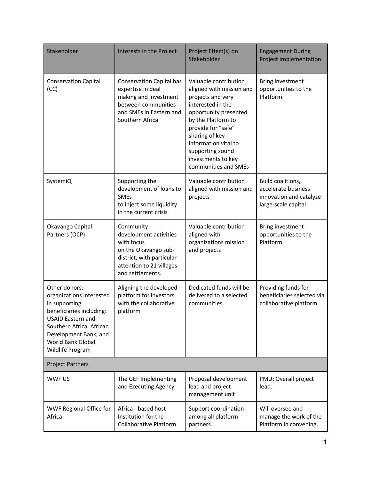| Stakeholder                                                                                                                                                                                                      | Interests in the Project                                                                                                                               | Project Effect(s) on<br>Stakeholder                                                                                                                                                                                                                                          | <b>Engagement During</b><br><b>Project Implementation</b>                                   |
|------------------------------------------------------------------------------------------------------------------------------------------------------------------------------------------------------------------|--------------------------------------------------------------------------------------------------------------------------------------------------------|------------------------------------------------------------------------------------------------------------------------------------------------------------------------------------------------------------------------------------------------------------------------------|---------------------------------------------------------------------------------------------|
| <b>Conservation Capital</b><br>(CC)                                                                                                                                                                              | <b>Conservation Capital has</b><br>expertise in deal<br>making and investment<br>between communities<br>and SMEs in Eastern and<br>Southern Africa     | Valuable contribution<br>aligned with mission and<br>projects and very<br>interested in the<br>opportunity presented<br>by the Platform to<br>provide for "safe"<br>sharing of key<br>information vital to<br>supporting sound<br>investments to key<br>communities and SMEs | Bring investment<br>opportunities to the<br>Platform                                        |
| SystemiQ                                                                                                                                                                                                         | Supporting the<br>development of loans to<br><b>SMEs</b><br>to inject some liquidity<br>in the current crisis                                          | Valuable contribution<br>aligned with mission and<br>projects                                                                                                                                                                                                                | Build coalitions,<br>accelerate business<br>innovation and catalyze<br>large-scale capital. |
| Okavango Capital<br>Partners (OCP)                                                                                                                                                                               | Community<br>development activities<br>with focus<br>on the Okavango sub-<br>district, with particular<br>attention to 21 villages<br>and settlements. | Valuable contribution<br>aligned with<br>organizations mission<br>and projects                                                                                                                                                                                               | Bring investment<br>opportunities to the<br>Platform                                        |
| Other donors:<br>organizations interested<br>in supporting<br>beneficiaries including:<br><b>USAID Eastern and</b><br>Southern Africa, African<br>Development Bank, and<br>World Bank Global<br>Wildlife Program | Aligning the developed<br>platform for investors<br>with the collaborative<br>platform                                                                 | Dedicated funds will be<br>delivered to a selected<br>communities                                                                                                                                                                                                            | Providing funds for<br>beneficiaries selected via<br>collaborative platform                 |
| <b>Project Partners</b>                                                                                                                                                                                          |                                                                                                                                                        |                                                                                                                                                                                                                                                                              |                                                                                             |
| WWF US                                                                                                                                                                                                           | The GEF Implementing<br>and Executing Agency.                                                                                                          | Proposal development<br>lead and project<br>management unit                                                                                                                                                                                                                  | PMU; Overall project<br>lead.                                                               |
| WWF Regional Office for<br>Africa                                                                                                                                                                                | Africa - based host<br>Institution for the<br><b>Collaborative Platform</b>                                                                            | Support coordination<br>among all platform<br>partners.                                                                                                                                                                                                                      | Will oversee and<br>manage the work of the<br>Platform in convening,                        |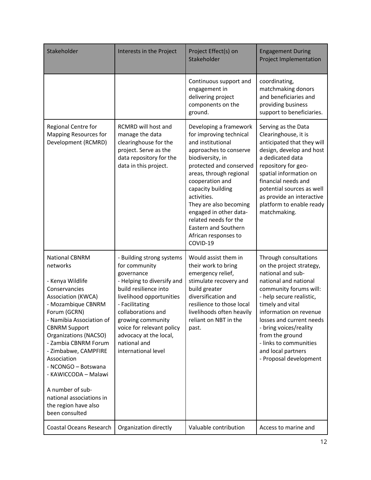| Stakeholder                                                                                                                                                                                                                                                                                                                                                                                                         | Interests in the Project                                                                                                                                                                                                                                                                               | Project Effect(s) on<br>Stakeholder                                                                                                                                                                                                                                                                                                                                        | <b>Engagement During</b><br><b>Project Implementation</b>                                                                                                                                                                                                                                                                                              |
|---------------------------------------------------------------------------------------------------------------------------------------------------------------------------------------------------------------------------------------------------------------------------------------------------------------------------------------------------------------------------------------------------------------------|--------------------------------------------------------------------------------------------------------------------------------------------------------------------------------------------------------------------------------------------------------------------------------------------------------|----------------------------------------------------------------------------------------------------------------------------------------------------------------------------------------------------------------------------------------------------------------------------------------------------------------------------------------------------------------------------|--------------------------------------------------------------------------------------------------------------------------------------------------------------------------------------------------------------------------------------------------------------------------------------------------------------------------------------------------------|
|                                                                                                                                                                                                                                                                                                                                                                                                                     |                                                                                                                                                                                                                                                                                                        | Continuous support and<br>engagement in<br>delivering project<br>components on the<br>ground.                                                                                                                                                                                                                                                                              | coordinating,<br>matchmaking donors<br>and beneficiaries and<br>providing business<br>support to beneficiaries.                                                                                                                                                                                                                                        |
| Regional Centre for<br><b>Mapping Resources for</b><br>Development (RCMRD)                                                                                                                                                                                                                                                                                                                                          | RCMRD will host and<br>manage the data<br>clearinghouse for the<br>project. Serve as the<br>data repository for the<br>data in this project.                                                                                                                                                           | Developing a framework<br>for improving technical<br>and institutional<br>approaches to conserve<br>biodiversity, in<br>protected and conserved<br>areas, through regional<br>cooperation and<br>capacity building<br>activities.<br>They are also becoming<br>engaged in other data-<br>related needs for the<br>Eastern and Southern<br>African responses to<br>COVID-19 | Serving as the Data<br>Clearinghouse, it is<br>anticipated that they will<br>design, develop and host<br>a dedicated data<br>repository for geo-<br>spatial information on<br>financial needs and<br>potential sources as well<br>as provide an interactive<br>platform to enable ready<br>matchmaking.                                                |
| <b>National CBNRM</b><br>networks<br>- Kenya Wildlife<br>Conservancies<br><b>Association (KWCA)</b><br>- Mozambique CBNRM<br>Forum (GCRN)<br>- Namibia Association of<br><b>CBNRM Support</b><br><b>Organizations (NACSO)</b><br>- Zambia CBNRM Forum<br>- Zimbabwe, CAMPFIRE<br>Association<br>- NCONGO - Botswana<br>- KAWICCODA - Malawi<br>A number of sub-<br>national associations in<br>the region have also | - Building strong systems<br>for community<br>governance<br>- Helping to diversify and<br>build resilience into<br>livelihood opportunities<br>- Facilitating<br>collaborations and<br>growing community<br>voice for relevant policy<br>advocacy at the local,<br>national and<br>international level | Would assist them in<br>their work to bring<br>emergency relief,<br>stimulate recovery and<br>build greater<br>diversification and<br>resilience to those local<br>livelihoods often heavily<br>reliant on NBT in the<br>past.                                                                                                                                             | Through consultations<br>on the project strategy,<br>national and sub-<br>national and national<br>community forums will:<br>- help secure realistic,<br>timely and vital<br>information on revenue<br>losses and current needs<br>- bring voices/reality<br>from the ground<br>- links to communities<br>and local partners<br>- Proposal development |
| been consulted<br>Coastal Oceans Research                                                                                                                                                                                                                                                                                                                                                                           | Organization directly                                                                                                                                                                                                                                                                                  | Valuable contribution                                                                                                                                                                                                                                                                                                                                                      | Access to marine and                                                                                                                                                                                                                                                                                                                                   |
|                                                                                                                                                                                                                                                                                                                                                                                                                     |                                                                                                                                                                                                                                                                                                        |                                                                                                                                                                                                                                                                                                                                                                            |                                                                                                                                                                                                                                                                                                                                                        |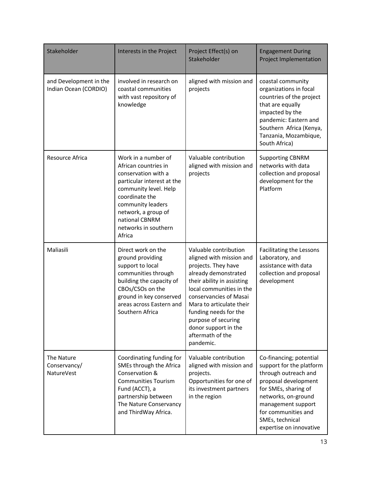| Stakeholder                                     | Interests in the Project                                                                                                                                                                                                                    | Project Effect(s) on<br>Stakeholder                                                                                                                                                                                                                                                                                       | <b>Engagement During</b><br><b>Project Implementation</b>                                                                                                                                                                                     |
|-------------------------------------------------|---------------------------------------------------------------------------------------------------------------------------------------------------------------------------------------------------------------------------------------------|---------------------------------------------------------------------------------------------------------------------------------------------------------------------------------------------------------------------------------------------------------------------------------------------------------------------------|-----------------------------------------------------------------------------------------------------------------------------------------------------------------------------------------------------------------------------------------------|
| and Development in the<br>Indian Ocean (CORDIO) | involved in research on<br>coastal communities<br>with vast repository of<br>knowledge                                                                                                                                                      | aligned with mission and<br>projects                                                                                                                                                                                                                                                                                      | coastal community<br>organizations in focal<br>countries of the project<br>that are equally<br>impacted by the<br>pandemic: Eastern and<br>Southern Africa (Kenya,<br>Tanzania, Mozambique,<br>South Africa)                                  |
| Resource Africa                                 | Work in a number of<br>African countries in<br>conservation with a<br>particular interest at the<br>community level. Help<br>coordinate the<br>community leaders<br>network, a group of<br>national CBNRM<br>networks in southern<br>Africa | Valuable contribution<br>aligned with mission and<br>projects                                                                                                                                                                                                                                                             | <b>Supporting CBNRM</b><br>networks with data<br>collection and proposal<br>development for the<br>Platform                                                                                                                                   |
| Maliasili                                       | Direct work on the<br>ground providing<br>support to local<br>communities through<br>building the capacity of<br>CBOs/CSOs on the<br>ground in key conserved<br>areas across Eastern and<br>Southern Africa                                 | Valuable contribution<br>aligned with mission and<br>projects. They have<br>already demonstrated<br>their ability in assisting<br>local communities in the<br>conservancies of Masai<br>Mara to articulate their<br>funding needs for the<br>purpose of securing<br>donor support in the<br>aftermath of the<br>pandemic. | Facilitating the Lessons<br>Laboratory, and<br>assistance with data<br>collection and proposal<br>development                                                                                                                                 |
| The Nature<br>Conservancy/<br>NatureVest        | Coordinating funding for<br>SMEs through the Africa<br>Conservation &<br><b>Communities Tourism</b><br>Fund (ACCT), a<br>partnership between<br>The Nature Conservancy<br>and ThirdWay Africa.                                              | Valuable contribution<br>aligned with mission and<br>projects.<br>Opportunities for one of<br>its investment partners<br>in the region                                                                                                                                                                                    | Co-financing; potential<br>support for the platform<br>through outreach and<br>proposal development<br>for SMEs, sharing of<br>networks, on-ground<br>management support<br>for communities and<br>SMEs, technical<br>expertise on innovative |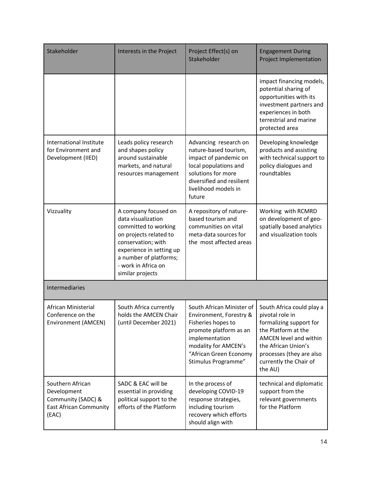| Stakeholder                                                                                     | Interests in the Project                                                                                                                                                                                            | Project Effect(s) on<br>Stakeholder                                                                                                                                                             | <b>Engagement During</b><br><b>Project Implementation</b>                                                                                                                                                        |
|-------------------------------------------------------------------------------------------------|---------------------------------------------------------------------------------------------------------------------------------------------------------------------------------------------------------------------|-------------------------------------------------------------------------------------------------------------------------------------------------------------------------------------------------|------------------------------------------------------------------------------------------------------------------------------------------------------------------------------------------------------------------|
|                                                                                                 |                                                                                                                                                                                                                     |                                                                                                                                                                                                 | impact financing models,<br>potential sharing of<br>opportunities with its<br>investment partners and<br>experiences in both<br>terrestrial and marine<br>protected area                                         |
| International Institute<br>for Environment and<br>Development (IIED)                            | Leads policy research<br>and shapes policy<br>around sustainable<br>markets, and natural<br>resources management                                                                                                    | Advancing research on<br>nature-based tourism,<br>impact of pandemic on<br>local populations and<br>solutions for more<br>diversified and resilient<br>livelihood models in<br>future           | Developing knowledge<br>products and assisting<br>with technical support to<br>policy dialogues and<br>roundtables                                                                                               |
| Vizzuality                                                                                      | A company focused on<br>data visualization<br>committed to working<br>on projects related to<br>conservation; with<br>experience in setting up<br>a number of platforms;<br>- work in Africa on<br>similar projects | A repository of nature-<br>based tourism and<br>communities on vital<br>meta-data sources for<br>the most affected areas                                                                        | Working with RCMRD<br>on development of geo-<br>spatially based analytics<br>and visualization tools                                                                                                             |
| Intermediaries                                                                                  |                                                                                                                                                                                                                     |                                                                                                                                                                                                 |                                                                                                                                                                                                                  |
| African Ministerial<br>Conference on the<br>Environment (AMCEN)                                 | South Africa currently<br>holds the AMCEN Chair<br>(until December 2021)                                                                                                                                            | South African Minister of<br>Environment, Forestry &<br>Fisheries hopes to<br>promote platform as an<br>implementation<br>modality for AMCEN's<br>"African Green Economy<br>Stimulus Programme" | South Africa could play a<br>pivotal role in<br>formalizing support for<br>the Platform at the<br>AMCEN level and within<br>the African Union's<br>processes (they are also<br>currently the Chair of<br>the AU) |
| Southern African<br>Development<br>Community (SADC) &<br><b>East African Community</b><br>(EAC) | SADC & EAC will be<br>essential in providing<br>political support to the<br>efforts of the Platform                                                                                                                 | In the process of<br>developing COVID-19<br>response strategies,<br>including tourism<br>recovery which efforts<br>should align with                                                            | technical and diplomatic<br>support from the<br>relevant governments<br>for the Platform                                                                                                                         |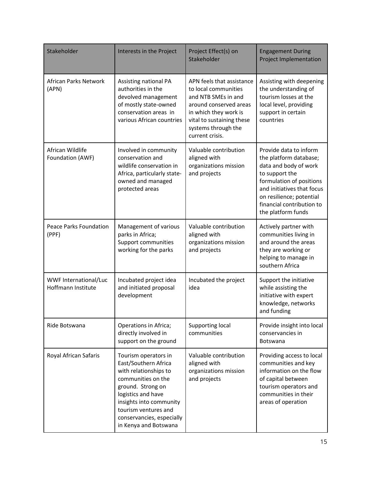| Stakeholder                                 | Interests in the Project                                                                                                                                                                                                                        | Project Effect(s) on<br>Stakeholder                                                                                                                                                                | <b>Engagement During</b><br><b>Project Implementation</b>                                                                                                                                                                            |
|---------------------------------------------|-------------------------------------------------------------------------------------------------------------------------------------------------------------------------------------------------------------------------------------------------|----------------------------------------------------------------------------------------------------------------------------------------------------------------------------------------------------|--------------------------------------------------------------------------------------------------------------------------------------------------------------------------------------------------------------------------------------|
| African Parks Network<br>(APN)              | Assisting national PA<br>authorities in the<br>devolved management<br>of mostly state-owned<br>conservation areas in<br>various African countries                                                                                               | APN feels that assistance<br>to local communities<br>and NTB SMEs in and<br>around conserved areas<br>in which they work is<br>vital to sustaining these<br>systems through the<br>current crisis. | Assisting with deepening<br>the understanding of<br>tourism losses at the<br>local level, providing<br>support in certain<br>countries                                                                                               |
| African Wildlife<br>Foundation (AWF)        | Involved in community<br>conservation and<br>wildlife conservation in<br>Africa, particularly state-<br>owned and managed<br>protected areas                                                                                                    | Valuable contribution<br>aligned with<br>organizations mission<br>and projects                                                                                                                     | Provide data to inform<br>the platform database;<br>data and body of work<br>to support the<br>formulation of positions<br>and initiatives that focus<br>on resilience; potential<br>financial contribution to<br>the platform funds |
| <b>Peace Parks Foundation</b><br>(PPF)      | Management of various<br>parks in Africa;<br>Support communities<br>working for the parks                                                                                                                                                       | Valuable contribution<br>aligned with<br>organizations mission<br>and projects                                                                                                                     | Actively partner with<br>communities living in<br>and around the areas<br>they are working or<br>helping to manage in<br>southern Africa                                                                                             |
| WWF International/Luc<br>Hoffmann Institute | Incubated project idea<br>and initiated proposal<br>development                                                                                                                                                                                 | Incubated the project<br>idea                                                                                                                                                                      | Support the initiative<br>while assisting the<br>initiative with expert<br>knowledge, networks<br>and funding                                                                                                                        |
| Ride Botswana                               | Operations in Africa;<br>directly involved in<br>support on the ground                                                                                                                                                                          | Supporting local<br>communities                                                                                                                                                                    | Provide insight into local<br>conservancies in<br><b>Botswana</b>                                                                                                                                                                    |
| Royal African Safaris                       | Tourism operators in<br>East/Southern Africa<br>with relationships to<br>communities on the<br>ground. Strong on<br>logistics and have<br>insights into community<br>tourism ventures and<br>conservancies, especially<br>in Kenya and Botswana | Valuable contribution<br>aligned with<br>organizations mission<br>and projects                                                                                                                     | Providing access to local<br>communities and key<br>information on the flow<br>of capital between<br>tourism operators and<br>communities in their<br>areas of operation                                                             |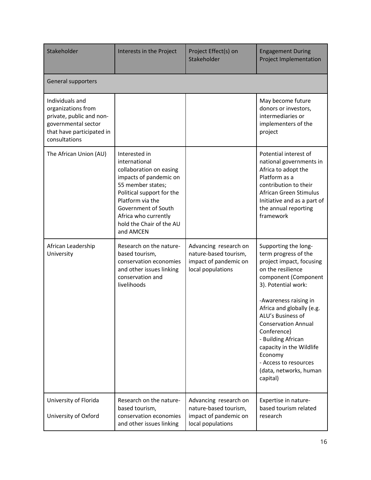| Stakeholder                                                                                                                            | Interests in the Project                                                                                                                                                                                                                          | Project Effect(s) on<br>Stakeholder                                                          | <b>Engagement During</b><br><b>Project Implementation</b>                                                                                                                                                                                                                                                                                                                                        |
|----------------------------------------------------------------------------------------------------------------------------------------|---------------------------------------------------------------------------------------------------------------------------------------------------------------------------------------------------------------------------------------------------|----------------------------------------------------------------------------------------------|--------------------------------------------------------------------------------------------------------------------------------------------------------------------------------------------------------------------------------------------------------------------------------------------------------------------------------------------------------------------------------------------------|
| General supporters                                                                                                                     |                                                                                                                                                                                                                                                   |                                                                                              |                                                                                                                                                                                                                                                                                                                                                                                                  |
| Individuals and<br>organizations from<br>private, public and non-<br>governmental sector<br>that have participated in<br>consultations |                                                                                                                                                                                                                                                   |                                                                                              | May become future<br>donors or investors,<br>intermediaries or<br>implementers of the<br>project                                                                                                                                                                                                                                                                                                 |
| The African Union (AU)                                                                                                                 | Interested in<br>international<br>collaboration on easing<br>impacts of pandemic on<br>55 member states;<br>Political support for the<br>Platform via the<br>Government of South<br>Africa who currently<br>hold the Chair of the AU<br>and AMCEN |                                                                                              | Potential interest of<br>national governments in<br>Africa to adopt the<br>Platform as a<br>contribution to their<br>African Green Stimulus<br>Initiative and as a part of<br>the annual reporting<br>framework                                                                                                                                                                                  |
| African Leadership<br>University                                                                                                       | Research on the nature-<br>based tourism,<br>conservation economies<br>and other issues linking<br>conservation and<br>livelihoods                                                                                                                | Advancing research on<br>nature-based tourism,<br>impact of pandemic on<br>local populations | Supporting the long-<br>term progress of the<br>project impact, focusing<br>on the resilience<br>component (Component<br>3). Potential work:<br>-Awareness raising in<br>Africa and globally (e.g.<br>ALU's Business of<br><b>Conservation Annual</b><br>Conference)<br>- Building African<br>capacity in the Wildlife<br>Economy<br>- Access to resources<br>(data, networks, human<br>capital) |
| University of Florida<br>University of Oxford                                                                                          | Research on the nature-<br>based tourism,<br>conservation economies<br>and other issues linking                                                                                                                                                   | Advancing research on<br>nature-based tourism,<br>impact of pandemic on<br>local populations | Expertise in nature-<br>based tourism related<br>research                                                                                                                                                                                                                                                                                                                                        |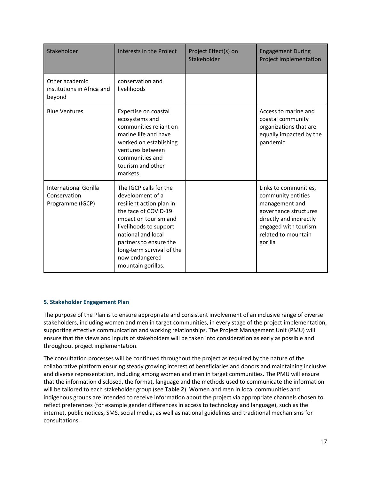| Stakeholder                                               | Interests in the Project                                                                                                                                                                                                                                               | Project Effect(s) on<br>Stakeholder | <b>Engagement During</b><br><b>Project Implementation</b>                                                                                                                   |
|-----------------------------------------------------------|------------------------------------------------------------------------------------------------------------------------------------------------------------------------------------------------------------------------------------------------------------------------|-------------------------------------|-----------------------------------------------------------------------------------------------------------------------------------------------------------------------------|
| Other academic<br>institutions in Africa and<br>beyond    | conservation and<br>livelihoods                                                                                                                                                                                                                                        |                                     |                                                                                                                                                                             |
| <b>Blue Ventures</b>                                      | Expertise on coastal<br>ecosystems and<br>communities reliant on<br>marine life and have<br>worked on establishing<br>ventures between<br>communities and<br>tourism and other<br>markets                                                                              |                                     | Access to marine and<br>coastal community<br>organizations that are<br>equally impacted by the<br>pandemic                                                                  |
| International Gorilla<br>Conservation<br>Programme (IGCP) | The IGCP calls for the<br>development of a<br>resilient action plan in<br>the face of COVID-19<br>impact on tourism and<br>livelihoods to support<br>national and local<br>partners to ensure the<br>long-term survival of the<br>now endangered<br>mountain gorillas. |                                     | Links to communities,<br>community entities<br>management and<br>governance structures<br>directly and indirectly<br>engaged with tourism<br>related to mountain<br>gorilla |

# <span id="page-18-0"></span>**5. Stakeholder Engagement Plan**

The purpose of the Plan is to ensure appropriate and consistent involvement of an inclusive range of diverse stakeholders, including women and men in target communities, in every stage of the project implementation, supporting effective communication and working relationships. The Project Management Unit (PMU) will ensure that the views and inputs of stakeholders will be taken into consideration as early as possible and throughout project implementation.

The consultation processes will be continued throughout the project as required by the nature of the collaborative platform ensuring steady growing interest of beneficiaries and donors and maintaining inclusive and diverse representation, including among women and men in target communities. The PMU will ensure that the information disclosed, the format, language and the methods used to communicate the information will be tailored to each stakeholder group (see **Table 2**). Women and men in local communities and indigenous groups are intended to receive information about the project via appropriate channels chosen to reflect preferences (for example gender differences in access to technology and language), such as the internet, public notices, SMS, social media, as well as national guidelines and traditional mechanisms for consultations.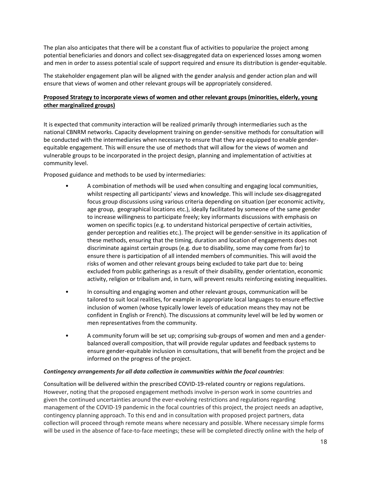The plan also anticipates that there will be a constant flux of activities to popularize the project among potential beneficiaries and donors and collect sex-disaggregated data on experienced losses among women and men in order to assess potential scale of support required and ensure its distribution is gender-equitable.

The stakeholder engagement plan will be aligned with the gender analysis and gender action plan and will ensure that views of women and other relevant groups will be appropriately considered.

# **Proposed Strategy to incorporate views of women and other relevant groups (minorities, elderly, young other marginalized groups)**

It is expected that community interaction will be realized primarily through intermediaries such as the national CBNRM networks. Capacity development training on gender-sensitive methods for consultation will be conducted with the intermediaries when necessary to ensure that they are equipped to enable genderequitable engagement. This will ensure the use of methods that will allow for the views of women and vulnerable groups to be incorporated in the project design, planning and implementation of activities at community level.

Proposed guidance and methods to be used by intermediaries:

- A combination of methods will be used when consulting and engaging local communities, whilst respecting all participants' views and knowledge. This will include sex-disaggregated focus group discussions using various criteria depending on situation (per economic activity, age group, geographical locations etc.), ideally facilitated by someone of the same gender to increase willingness to participate freely; key informants discussions with emphasis on women on specific topics (e.g. to understand historical perspective of certain activities, gender perception and realities etc.). The project will be gender-sensitive in its application of these methods, ensuring that the timing, duration and location of engagements does not discriminate against certain groups (e.g. due to disability, some may come from far) to ensure there is participation of all intended members of communities. This will avoid the risks of women and other relevant groups being excluded to take part due to: being excluded from public gatherings as a result of their disability, gender orientation, economic activity, religion or tribalism and, in turn, will prevent results reinforcing existing inequalities.
- In consulting and engaging women and other relevant groups, communication will be tailored to suit local realities, for example in appropriate local languages to ensure effective inclusion of women (whose typically lower levels of education means they may not be confident in English or French). The discussions at community level will be led by women or men representatives from the community.
- A community forum will be set up; comprising sub-groups of women and men and a genderbalanced overall composition, that will provide regular updates and feedback systems to ensure gender-equitable inclusion in consultations, that will benefit from the project and be informed on the progress of the project.

#### *Contingency arrangements for all data collection in communities within the focal countries*:

Consultation will be delivered within the prescribed COVID-19-related country or regions regulations. However, noting that the proposed engagement methods involve in-person work in some countries and given the continued uncertainties around the ever-evolving restrictions and regulations regarding management of the COVID-19 pandemic in the focal countries of this project, the project needs an adaptive, contingency planning approach. To this end and in consultation with proposed project partners, data collection will proceed through remote means where necessary and possible. Where necessary simple forms will be used in the absence of face-to-face meetings; these will be completed directly online with the help of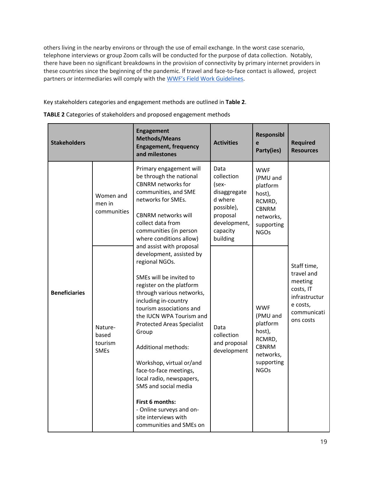others living in the nearby environs or through the use of email exchange. In the worst case scenario, telephone interviews or group Zoom calls will be conducted for the purpose of data collection. Notably, there have been no significant breakdowns in the provision of connectivity by primary internet providers in these countries since the beginning of the pandemic. If travel and face-to-face contact is allowed, project partners or intermediaries will comply with the [WWF's Field Work Guidelines](https://drive.google.com/file/d/1gMpBfq4cF0kImRR42narO5E0AbCjwHA4/view?usp=sharing).

Key stakeholders categories and engagement methods are outlined in **Table 2**.

| <b>Stakeholders</b>                                                          |                          | <b>Engagement</b><br><b>Methods/Means</b><br><b>Engagement, frequency</b><br>and milestones                                                                                                                                                                                                                                                                                                                                                                                                                                                                                                                                                                                                                                                                                 | <b>Activities</b>                                                                                                        | <b>Responsibl</b><br>e<br>Party(ies)                                                                             | <b>Required</b><br><b>Resources</b>                                                                        |
|------------------------------------------------------------------------------|--------------------------|-----------------------------------------------------------------------------------------------------------------------------------------------------------------------------------------------------------------------------------------------------------------------------------------------------------------------------------------------------------------------------------------------------------------------------------------------------------------------------------------------------------------------------------------------------------------------------------------------------------------------------------------------------------------------------------------------------------------------------------------------------------------------------|--------------------------------------------------------------------------------------------------------------------------|------------------------------------------------------------------------------------------------------------------|------------------------------------------------------------------------------------------------------------|
| men in<br><b>Beneficiaries</b><br>Nature-<br>based<br>tourism<br><b>SMEs</b> | Women and<br>communities | Primary engagement will<br>be through the national<br><b>CBNRM</b> networks for<br>communities, and SME<br>networks for SMEs.<br><b>CBNRM networks will</b><br>collect data from<br>communities (in person<br>where conditions allow)<br>and assist with proposal<br>development, assisted by<br>regional NGOs.<br>SMEs will be invited to<br>register on the platform<br>through various networks,<br>including in-country<br>tourism associations and<br>the IUCN WPA Tourism and<br><b>Protected Areas Specialist</b><br>Group<br>Additional methods:<br>Workshop, virtual or/and<br>face-to-face meetings,<br>local radio, newspapers,<br>SMS and social media<br><b>First 6 months:</b><br>- Online surveys and on-<br>site interviews with<br>communities and SMEs on | Data<br>collection<br>(sex-<br>disaggregate<br>d where<br>possible),<br>proposal<br>development,<br>capacity<br>building | <b>WWF</b><br>(PMU and<br>platform<br>host),<br>RCMRD,<br><b>CBNRM</b><br>networks,<br>supporting<br><b>NGOs</b> |                                                                                                            |
|                                                                              |                          |                                                                                                                                                                                                                                                                                                                                                                                                                                                                                                                                                                                                                                                                                                                                                                             | Data<br>collection<br>and proposal<br>development                                                                        | <b>WWF</b><br>(PMU and<br>platform<br>host),<br>RCMRD,<br><b>CBNRM</b><br>networks,<br>supporting<br><b>NGOs</b> | Staff time,<br>travel and<br>meeting<br>costs, IT<br>infrastructur<br>e costs,<br>communicati<br>ons costs |

|  | TABLE 2 Categories of stakeholders and proposed engagement methods |
|--|--------------------------------------------------------------------|
|  |                                                                    |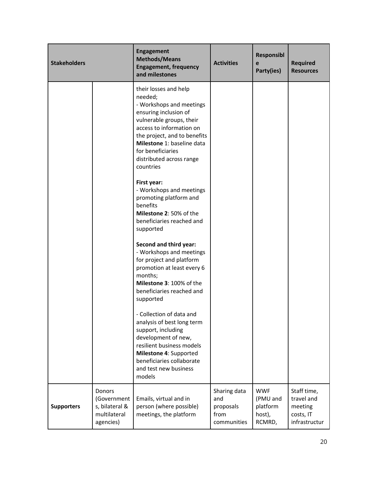| <b>Stakeholders</b> |                                                                             | <b>Engagement</b><br><b>Methods/Means</b><br><b>Engagement, frequency</b><br>and milestones                                                                                                                                                                                                                                                                                                                                     | <b>Activities</b>                                       | <b>Responsibl</b><br>e<br>Party(ies)                   | <b>Required</b><br><b>Resources</b>                                |
|---------------------|-----------------------------------------------------------------------------|---------------------------------------------------------------------------------------------------------------------------------------------------------------------------------------------------------------------------------------------------------------------------------------------------------------------------------------------------------------------------------------------------------------------------------|---------------------------------------------------------|--------------------------------------------------------|--------------------------------------------------------------------|
|                     |                                                                             | their losses and help<br>needed;<br>- Workshops and meetings<br>ensuring inclusion of<br>vulnerable groups, their<br>access to information on<br>the project, and to benefits<br>Milestone 1: baseline data<br>for beneficiaries<br>distributed across range<br>countries<br>First year:<br>- Workshops and meetings<br>promoting platform and<br>benefits<br>Milestone 2: 50% of the<br>beneficiaries reached and<br>supported |                                                         |                                                        |                                                                    |
|                     |                                                                             | Second and third year:<br>- Workshops and meetings<br>for project and platform<br>promotion at least every 6<br>months;<br>Milestone 3: 100% of the<br>beneficiaries reached and<br>supported<br>Collection of data and<br>analysis of best long term<br>support, including<br>development of new,<br>resilient business models<br>Milestone 4: Supported<br>beneficiaries collaborate<br>and test new business<br>models       |                                                         |                                                        |                                                                    |
| <b>Supporters</b>   | <b>Donors</b><br>(Government<br>s, bilateral &<br>multilateral<br>agencies) | Emails, virtual and in<br>person (where possible)<br>meetings, the platform                                                                                                                                                                                                                                                                                                                                                     | Sharing data<br>and<br>proposals<br>from<br>communities | <b>WWF</b><br>(PMU and<br>platform<br>host),<br>RCMRD, | Staff time,<br>travel and<br>meeting<br>costs, IT<br>infrastructur |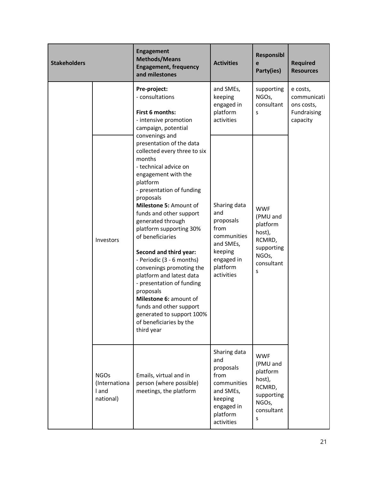| <b>Stakeholders</b> |                                                    | <b>Engagement</b><br><b>Methods/Means</b><br><b>Engagement, frequency</b><br>and milestones                                                                                                                                                                                                                                                                                                                                                                                                                                                                                                             | <b>Activities</b>                                                                                                       | <b>Responsibl</b><br>e<br>Party(ies)                                                             | <b>Required</b><br><b>Resources</b>                              |
|---------------------|----------------------------------------------------|---------------------------------------------------------------------------------------------------------------------------------------------------------------------------------------------------------------------------------------------------------------------------------------------------------------------------------------------------------------------------------------------------------------------------------------------------------------------------------------------------------------------------------------------------------------------------------------------------------|-------------------------------------------------------------------------------------------------------------------------|--------------------------------------------------------------------------------------------------|------------------------------------------------------------------|
|                     |                                                    | Pre-project:<br>- consultations<br>First 6 months:<br>- intensive promotion<br>campaign, potential                                                                                                                                                                                                                                                                                                                                                                                                                                                                                                      | and SMEs,<br>keeping<br>engaged in<br>platform<br>activities                                                            | supporting<br>NGOs,<br>consultant<br>S                                                           | e costs,<br>communicati<br>ons costs,<br>Fundraising<br>capacity |
|                     | Investors                                          | convenings and<br>presentation of the data<br>collected every three to six<br>months<br>- technical advice on<br>engagement with the<br>platform<br>- presentation of funding<br>proposals<br>Milestone 5: Amount of<br>funds and other support<br>generated through<br>platform supporting 30%<br>of beneficiaries<br>Second and third year:<br>- Periodic (3 - 6 months)<br>convenings promoting the<br>platform and latest data<br>- presentation of funding<br>proposals<br>Milestone 6: amount of<br>funds and other support<br>generated to support 100%<br>of beneficiaries by the<br>third year | Sharing data<br>and<br>proposals<br>from<br>communities<br>and SMEs,<br>keeping<br>engaged in<br>platform<br>activities | <b>WWF</b><br>(PMU and<br>platform<br>host),<br>RCMRD,<br>supporting<br>NGOs,<br>consultant<br>S |                                                                  |
|                     | <b>NGOs</b><br>(Internationa<br>I and<br>national) | Emails, virtual and in<br>person (where possible)<br>meetings, the platform                                                                                                                                                                                                                                                                                                                                                                                                                                                                                                                             | Sharing data<br>and<br>proposals<br>from<br>communities<br>and SMEs,<br>keeping<br>engaged in<br>platform<br>activities | <b>WWF</b><br>(PMU and<br>platform<br>host),<br>RCMRD,<br>supporting<br>NGOs,<br>consultant<br>S |                                                                  |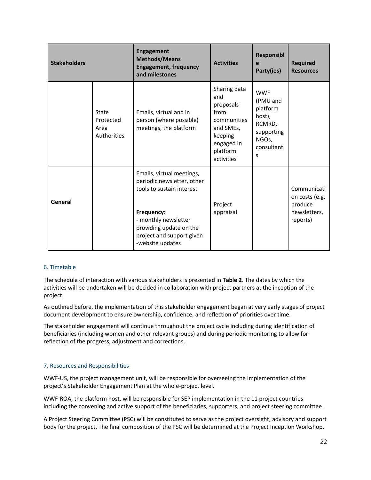| <b>Stakeholders</b> |                                           | <b>Engagement</b><br><b>Methods/Means</b><br><b>Engagement, frequency</b><br>and milestones                                                                                                            | <b>Activities</b>                                                                                                       | <b>Responsibl</b><br>e<br>Party(ies)                                                             | <b>Required</b><br><b>Resources</b>                                  |
|---------------------|-------------------------------------------|--------------------------------------------------------------------------------------------------------------------------------------------------------------------------------------------------------|-------------------------------------------------------------------------------------------------------------------------|--------------------------------------------------------------------------------------------------|----------------------------------------------------------------------|
|                     | State<br>Protected<br>Area<br>Authorities | Emails, virtual and in<br>person (where possible)<br>meetings, the platform                                                                                                                            | Sharing data<br>and<br>proposals<br>from<br>communities<br>and SMEs,<br>keeping<br>engaged in<br>platform<br>activities | <b>WWF</b><br>(PMU and<br>platform<br>host),<br>RCMRD,<br>supporting<br>NGOs,<br>consultant<br>S |                                                                      |
| General             |                                           | Emails, virtual meetings,<br>periodic newsletter, other<br>tools to sustain interest<br>Frequency:<br>- monthly newsletter<br>providing update on the<br>project and support given<br>-website updates | Project<br>appraisal                                                                                                    |                                                                                                  | Communicati<br>on costs (e.g.<br>produce<br>newsletters,<br>reports) |

#### <span id="page-23-0"></span>6. Timetable

The schedule of interaction with various stakeholders is presented in **Table 2**. The dates by which the activities will be undertaken will be decided in collaboration with project partners at the inception of the project.

As outlined before, the implementation of this stakeholder engagement began at very early stages of project document development to ensure ownership, confidence, and reflection of priorities over time.

The stakeholder engagement will continue throughout the project cycle including during identification of beneficiaries (including women and other relevant groups) and during periodic monitoring to allow for reflection of the progress, adjustment and corrections.

# <span id="page-23-1"></span>7. Resources and Responsibilities

WWF-US, the project management unit, will be responsible for overseeing the implementation of the project's Stakeholder Engagement Plan at the whole-project level.

WWF-ROA, the platform host, will be responsible for SEP implementation in the 11 project countries including the convening and active support of the beneficiaries, supporters, and project steering committee.

A Project Steering Committee (PSC) will be constituted to serve as the project oversight, advisory and support body for the project. The final composition of the PSC will be determined at the Project Inception Workshop,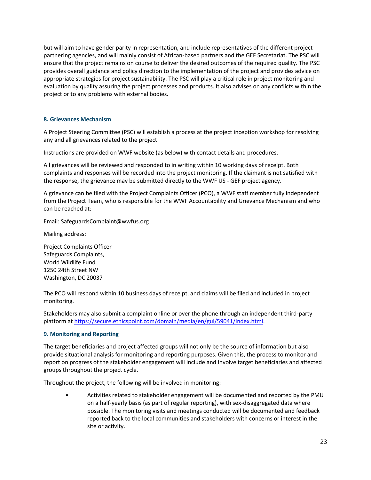but will aim to have gender parity in representation, and include representatives of the different project partnering agencies, and will mainly consist of African-based partners and the GEF Secretariat. The PSC will ensure that the project remains on course to deliver the desired outcomes of the required quality. The PSC provides overall guidance and policy direction to the implementation of the project and provides advice on appropriate strategies for project sustainability. The PSC will play a critical role in project monitoring and evaluation by quality assuring the project processes and products. It also advises on any conflicts within the project or to any problems with external bodies.

## <span id="page-24-0"></span>**8. Grievances Mechanism**

A Project Steering Committee (PSC) will establish a process at the project inception workshop for resolving any and all grievances related to the project.

Instructions are provided on WWF website (as below) with contact details and procedures.

All grievances will be reviewed and responded to in writing within 10 working days of receipt. Both complaints and responses will be recorded into the project monitoring. If the claimant is not satisfied with the response, the grievance may be submitted directly to the WWF US - GEF project agency.

A grievance can be filed with the Project Complaints Officer (PCO), a WWF staff member fully independent from the Project Team, who is responsible for the WWF Accountability and Grievance Mechanism and who can be reached at:

Email: SafeguardsComplaint@wwfus.org

Mailing address:

Project Complaints Officer Safeguards Complaints, World Wildlife Fund 1250 24th Street NW Washington, DC 20037

The PCO will respond within 10 business days of receipt, and claims will be filed and included in project monitoring.

Stakeholders may also submit a complaint online or over the phone through an independent third-party platform a[t https://secure.ethicspoint.com/domain/media/en/gui/59041/index.html.](https://secure.ethicspoint.com/domain/media/en/gui/59041/index.html)

#### <span id="page-24-1"></span>**9. Monitoring and Reporting**

The target beneficiaries and project affected groups will not only be the source of information but also provide situational analysis for monitoring and reporting purposes. Given this, the process to monitor and report on progress of the stakeholder engagement will include and involve target beneficiaries and affected groups throughout the project cycle.

Throughout the project, the following will be involved in monitoring:

• Activities related to stakeholder engagement will be documented and reported by the PMU on a half-yearly basis (as part of regular reporting), with sex-disaggregated data where possible. The monitoring visits and meetings conducted will be documented and feedback reported back to the local communities and stakeholders with concerns or interest in the site or activity.